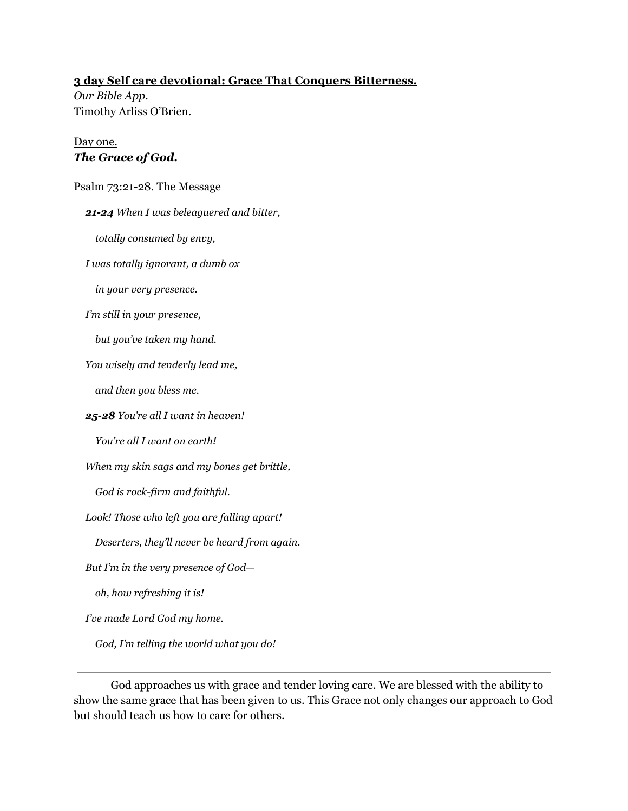## **3 day Self care devotional: Grace That Conquers Bitterness.**

*Our Bible App.* Timothy Arliss O'Brien.

### Day one. *The Grace of God.*

#### Psalm 73:21-28. The Message

*21-24 When I was beleaguered and bitter,*

*totally consumed by envy,*

*I was totally ignorant, a dumb ox*

*in your very presence.*

*I'm still in your presence,*

*but you've taken my hand.*

*You wisely and tenderly lead me,*

*and then you bless me.*

*25-28 You're all I want in heaven!*

*You're all I want on earth!*

*When my skin sags and my bones get brittle,*

*God is rock-firm and faithful.*

*Look! Those who left you are falling apart!*

*Deserters, they'll never be heard from again.*

*But I'm in the very presence of God—*

*oh, how refreshing it is!*

*I've made Lord God my home.*

*God, I'm telling the world what you do!*

God approaches us with grace and tender loving care. We are blessed with the ability to show the same grace that has been given to us. This Grace not only changes our approach to God but should teach us how to care for others.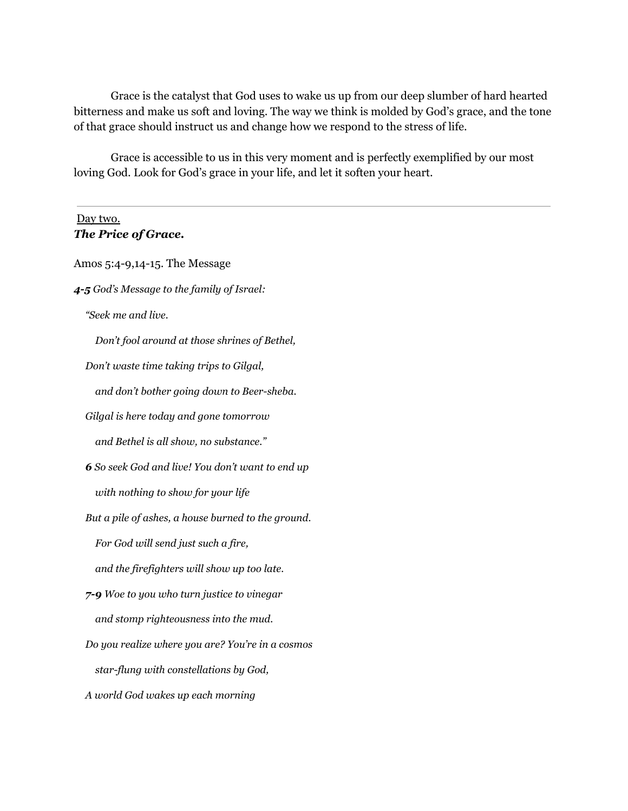Grace is the catalyst that God uses to wake us up from our deep slumber of hard hearted bitterness and make us soft and loving. The way we think is molded by God's grace, and the tone of that grace should instruct us and change how we respond to the stress of life.

Grace is accessible to us in this very moment and is perfectly exemplified by our most loving God. Look for God's grace in your life, and let it soften your heart.

## Day two. *The Price of Grace.*

Amos 5:4-9,14-15. The Message *4-5 God's Message to the family of Israel: "Seek me and live. Don't fool around at those shrines of Bethel, Don't waste time taking trips to Gilgal, and don't bother going down to Beer-sheba. Gilgal is here today and gone tomorrow and Bethel is all show, no substance." 6 So seek God and live! You don't want to end up with nothing to show for your life But a pile of ashes, a house burned to the ground. For God will send just such a fire, and the firefighters will show up too late. 7-9 Woe to you who turn justice to vinegar and stomp righteousness into the mud. Do you realize where you are? You're in a cosmos star-flung with constellations by God, A world God wakes up each morning*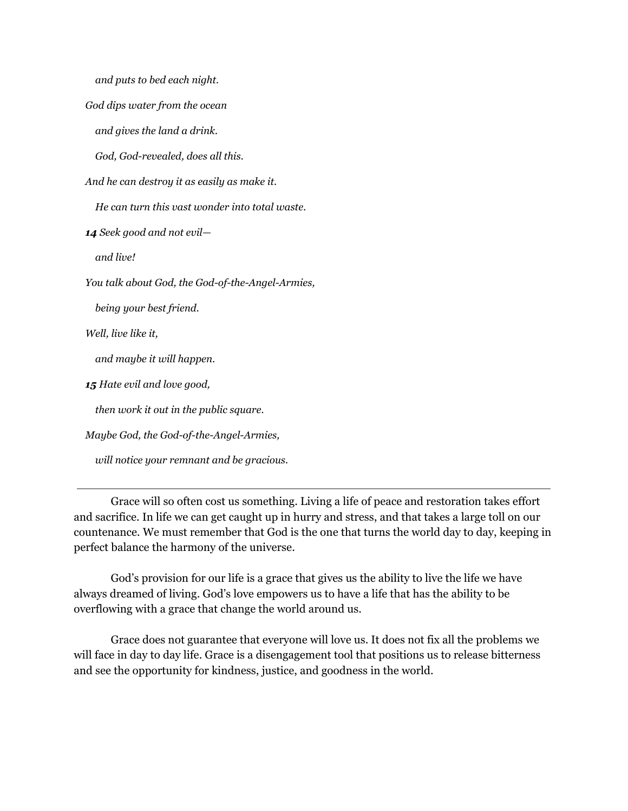*and puts to bed each night.*

*God dips water from the ocean*

*and gives the land a drink.*

*God, God-revealed, does all this.*

*And he can destroy it as easily as make it.*

*He can turn this vast wonder into total waste.*

*14 Seek good and not evil—*

*and live!*

*You talk about God, the God-of-the-Angel-Armies,*

*being your best friend.*

*Well, live like it,*

*and maybe it will happen.*

*15 Hate evil and love good,*

*then work it out in the public square.*

*Maybe God, the God-of-the-Angel-Armies,*

*will notice your remnant and be gracious.*

Grace will so often cost us something. Living a life of peace and restoration takes effort and sacrifice. In life we can get caught up in hurry and stress, and that takes a large toll on our countenance. We must remember that God is the one that turns the world day to day, keeping in perfect balance the harmony of the universe.

God's provision for our life is a grace that gives us the ability to live the life we have always dreamed of living. God's love empowers us to have a life that has the ability to be overflowing with a grace that change the world around us.

Grace does not guarantee that everyone will love us. It does not fix all the problems we will face in day to day life. Grace is a disengagement tool that positions us to release bitterness and see the opportunity for kindness, justice, and goodness in the world.